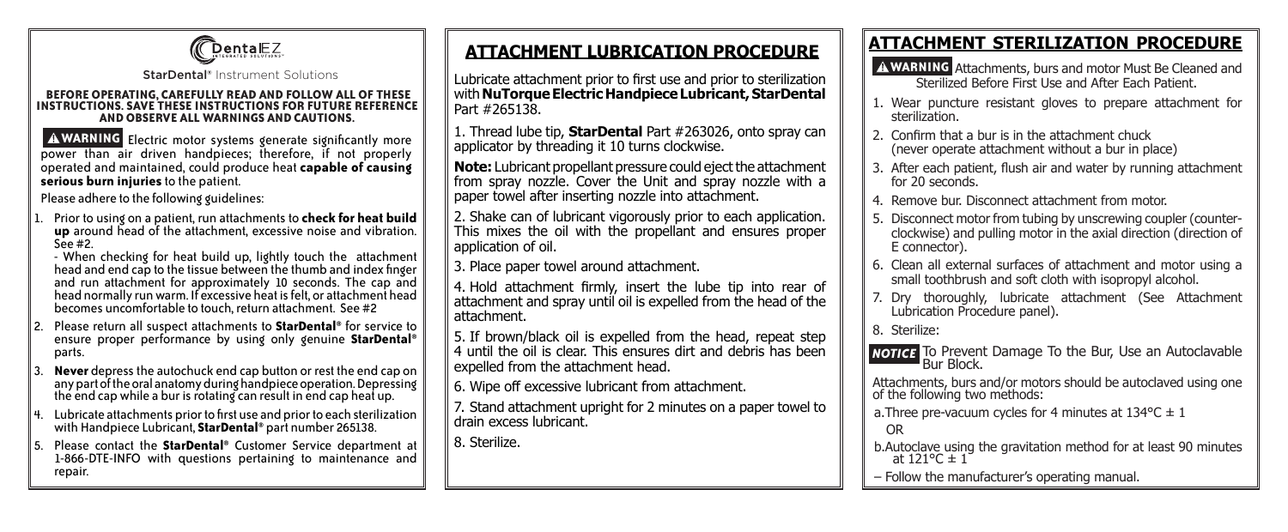

StarDental® Instrument Solutions

#### **BEFORE OPERATING, CAREFULLY READ AND FOLLOW ALL OF THESE INSTRUCTIONS. SAVE THESE INSTRUCTIONS FOR FUTURE REFERENCE AND OBSERVE ALL WARNINGS AND CAUTIONS.**

A WARNING Electric motor systems generate significantly more power than air driven handpieces; therefore, if not properly operated and maintained, could produce heat **capable of causing serious burn injuries** to the patient.

Please adhere to the following guidelines:

Prior to using on a patient, run attachments to **check for heat build up** around head of the attachment, excessive noise and vibration.<br>See #2.

- When checking for heat build up, lightly touch the attachment head and end cap to the tissue between the thumb and index finger head and end cap to the tissue between the thumb and index finger and run attachment for approximately <sup>10</sup> seconds. The cap and head normally run warm. If excessive heat is felt, or attachment head becomes uncomfortable to touch, return attachment. See #2

- 2. Please return all suspect attachments to **StarDental®** for service to ensure proper performance by using only genuine **StarDental®** parts.
- **Never** depress the autochuck end cap button or rest the end cap on any part of the oral anatomy during handpiece operation. Depressing the end cap while a bur is rotating can result in end cap heat up.
- Lubricate attachments prior to first use and prior to each sterilization with Handpiece Lubricant, **StarDental®** part number 265138.
- 5. Please contact the **StarDental®** Customer Service department at 1-866-DTE-INFO with questions pertaining to maintenance and repair.

### **ATTACHMENT LUBRICATION PROCEDURE**

Lubricate attachment prior to first use and prior to sterilization with **NuTorque Electric Handpiece Lubricant, StarDental** Part #265138.

1. Thread lube tip, **StarDental** Part #263026, onto spray can applicator by threading it 10 turns clockwise.

**Note:** Lubricant propellant pressure could eject the attachment from spray nozzle. Cover the Unit and spray nozzle with a paper towel after inserting nozzle into attachment.

2. Shake can of lubricant vigorously prior to each application. This mixes the oil with the propellant and ensures proper application of oil.

3. Place paper towel around attachment.

4. Hold attachment firmly, insert the lube tip into rear of attachment and spray until oil is expelled from the head of the attachment.

5. If brown/black oil is expelled from the head, repeat step 4 until the oil is clear. This ensures dirt and debris has been expelled from the attachment head.

6. Wipe off excessive lubricant from attachment.

7. Stand attachment upright for 2 minutes on a paper towel to drain excess lubricant.

8. Sterilize.

# **ATTACHMENT STERILIZATION PROCEDURE**

- Attachments, burs and motor Must Be Cleaned and **WARNING**  Sterilized Before First Use and After Each Patient.
- 1. Wear puncture resistant gloves to prepare attachment for sterilization.
- 2. Confirm that a bur is in the attachment chuck (never operate attachment without a bur in place)
- 3. After each patient, flush air and water by running attachment for 20 seconds.
- 4. Remove bur. Disconnect attachment from motor.
- 5. Disconnect motor from tubing by unscrewing coupler (counterclockwise) and pulling motor in the axial direction (direction of E connector).
- 6. Clean all external surfaces of attachment and motor using a small toothbrush and soft cloth with isopropyl alcohol.
- 7. Dry thoroughly, lubricate attachment (See Attachment Lubrication Procedure panel).
- 8. Sterilize:

**NOTICE** To Prevent Damage To the Bur, Use an Autoclavable Bur Block.

Attachments, burs and/or motors should be autoclaved using one of the following two methods:

a. Three pre-vacuum cycles for 4 minutes at  $134^{\circ}$ C  $\pm$  1

OR

b.Autoclave using the gravitation method for at least 90 minutes at  $121^{\circ}C \pm 1$ 

– Follow the manufacturer's operating manual.